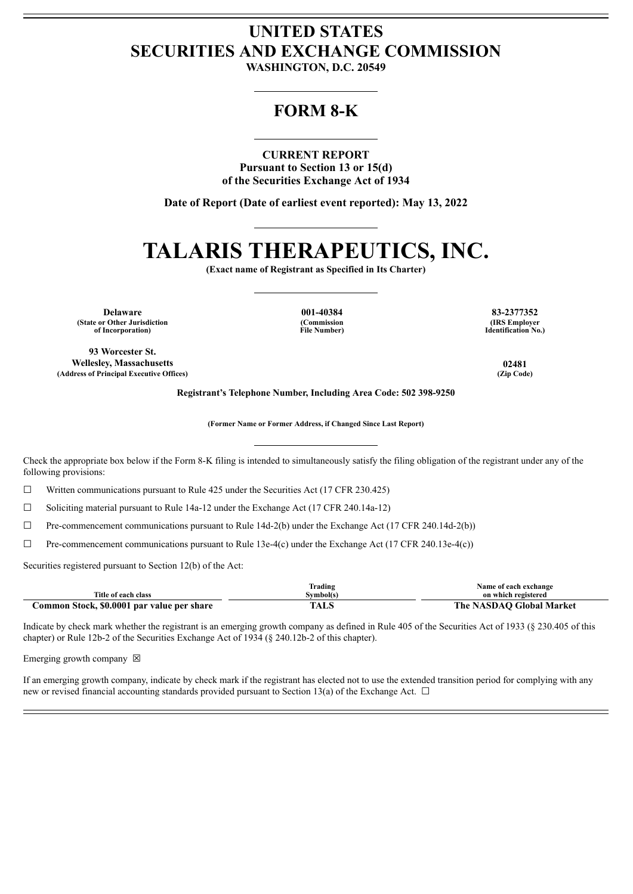## **UNITED STATES SECURITIES AND EXCHANGE COMMISSION**

**WASHINGTON, D.C. 20549**

### **FORM 8-K**

#### **CURRENT REPORT**

**Pursuant to Section 13 or 15(d) of the Securities Exchange Act of 1934**

**Date of Report (Date of earliest event reported): May 13, 2022**

# **TALARIS THERAPEUTICS, INC.**

**(Exact name of Registrant as Specified in Its Charter)**

**Delaware 001-40384 83-2377352 (State or Other Jurisdiction of Incorporation)**

**(Commission File Number)**

**(IRS Employer Identification No.)**

**93 Worcester St. Wellesley, Massachusetts 02481 (Address of Principal Executive Offices) (Zip Code)**

**Registrant's Telephone Number, Including Area Code: 502 398-9250**

**(Former Name or Former Address, if Changed Since Last Report)**

Check the appropriate box below if the Form 8-K filing is intended to simultaneously satisfy the filing obligation of the registrant under any of the following provisions:

 $\Box$  Written communications pursuant to Rule 425 under the Securities Act (17 CFR 230.425)

☐ Soliciting material pursuant to Rule 14a-12 under the Exchange Act (17 CFR 240.14a-12)

 $\Box$  Pre-commencement communications pursuant to Rule 14d-2(b) under the Exchange Act (17 CFR 240.14d-2(b))

 $\Box$  Pre-commencement communications pursuant to Rule 13e-4(c) under the Exchange Act (17 CFR 240.13e-4(c))

Securities registered pursuant to Section 12(b) of the Act:

|                                            | Frading  | Name of each exchange    |
|--------------------------------------------|----------|--------------------------|
| Title of each class                        | svmbol(s | on which registered      |
| Common Stock, \$0.0001 par value per share | TALS     | The NASDAO Global Market |

Indicate by check mark whether the registrant is an emerging growth company as defined in Rule 405 of the Securities Act of 1933 (§ 230.405 of this chapter) or Rule 12b-2 of the Securities Exchange Act of 1934 (§ 240.12b-2 of this chapter).

Emerging growth company  $\boxtimes$ 

If an emerging growth company, indicate by check mark if the registrant has elected not to use the extended transition period for complying with any new or revised financial accounting standards provided pursuant to Section 13(a) of the Exchange Act.  $\Box$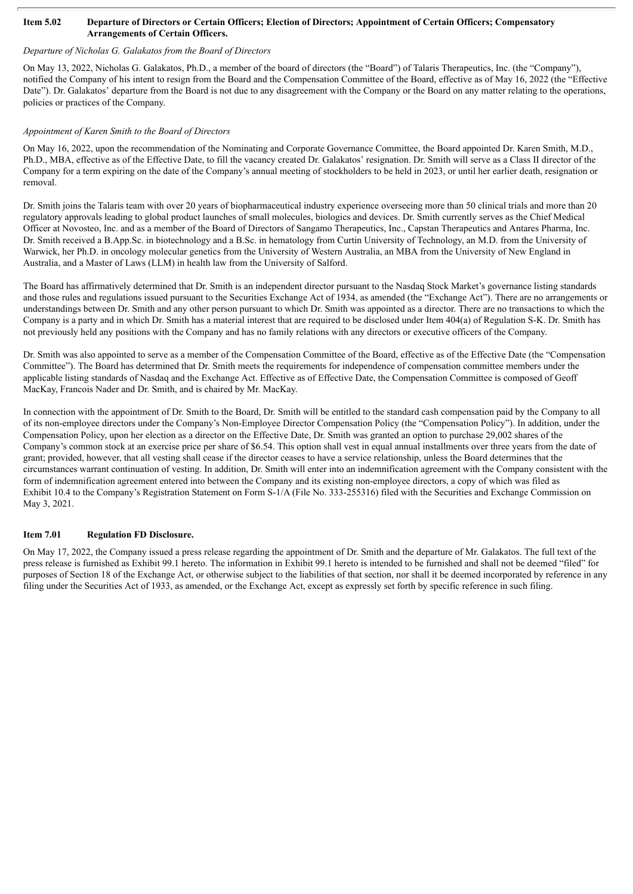#### Item 5.02 Departure of Directors or Certain Officers; Election of Directors; Appointment of Certain Officers; Compensatory **Arrangements of Certain Officers.**

#### *Departure of Nicholas G. Galakatos from the Board of Directors*

On May 13, 2022, Nicholas G. Galakatos, Ph.D., a member of the board of directors (the "Board") of Talaris Therapeutics, Inc. (the "Company"), notified the Company of his intent to resign from the Board and the Compensation Committee of the Board, effective as of May 16, 2022 (the "Effective Date"). Dr. Galakatos' departure from the Board is not due to any disagreement with the Company or the Board on any matter relating to the operations, policies or practices of the Company.

#### *Appointment of Karen Smith to the Board of Directors*

On May 16, 2022, upon the recommendation of the Nominating and Corporate Governance Committee, the Board appointed Dr. Karen Smith, M.D., Ph.D., MBA, effective as of the Effective Date, to fill the vacancy created Dr. Galakatos' resignation. Dr. Smith will serve as a Class II director of the Company for a term expiring on the date of the Company's annual meeting of stockholders to be held in 2023, or until her earlier death, resignation or removal.

Dr. Smith joins the Talaris team with over 20 years of biopharmaceutical industry experience overseeing more than 50 clinical trials and more than 20 regulatory approvals leading to global product launches of small molecules, biologics and devices. Dr. Smith currently serves as the Chief Medical Officer at Novosteo, Inc. and as a member of the Board of Directors of Sangamo Therapeutics, Inc., Capstan Therapeutics and Antares Pharma, Inc. Dr. Smith received a B.App.Sc. in biotechnology and a B.Sc. in hematology from Curtin University of Technology, an M.D. from the University of Warwick, her Ph.D. in oncology molecular genetics from the University of Western Australia, an MBA from the University of New England in Australia, and a Master of Laws (LLM) in health law from the University of Salford.

The Board has affirmatively determined that Dr. Smith is an independent director pursuant to the Nasdaq Stock Market's governance listing standards and those rules and regulations issued pursuant to the Securities Exchange Act of 1934, as amended (the "Exchange Act"). There are no arrangements or understandings between Dr. Smith and any other person pursuant to which Dr. Smith was appointed as a director. There are no transactions to which the Company is a party and in which Dr. Smith has a material interest that are required to be disclosed under Item 404(a) of Regulation S-K. Dr. Smith has not previously held any positions with the Company and has no family relations with any directors or executive officers of the Company.

Dr. Smith was also appointed to serve as a member of the Compensation Committee of the Board, effective as of the Effective Date (the "Compensation Committee"). The Board has determined that Dr. Smith meets the requirements for independence of compensation committee members under the applicable listing standards of Nasdaq and the Exchange Act. Effective as of Effective Date, the Compensation Committee is composed of Geoff MacKay, Francois Nader and Dr. Smith, and is chaired by Mr. MacKay.

In connection with the appointment of Dr. Smith to the Board, Dr. Smith will be entitled to the standard cash compensation paid by the Company to all of its non-employee directors under the Company's Non-Employee Director Compensation Policy (the "Compensation Policy"). In addition, under the Compensation Policy, upon her election as a director on the Effective Date, Dr. Smith was granted an option to purchase 29,002 shares of the Company's common stock at an exercise price per share of \$6.54. This option shall vest in equal annual installments over three years from the date of grant; provided, however, that all vesting shall cease if the director ceases to have a service relationship, unless the Board determines that the circumstances warrant continuation of vesting. In addition, Dr. Smith will enter into an indemnification agreement with the Company consistent with the form of indemnification agreement entered into between the Company and its existing non-employee directors, a copy of which was filed as Exhibit 10.4 to the Company's Registration Statement on Form S-1/A (File No. 333-255316) filed with the Securities and Exchange Commission on May 3, 2021.

#### **Item 7.01 Regulation FD Disclosure.**

On May 17, 2022, the Company issued a press release regarding the appointment of Dr. Smith and the departure of Mr. Galakatos. The full text of the press release is furnished as Exhibit 99.1 hereto. The information in Exhibit 99.1 hereto is intended to be furnished and shall not be deemed "filed" for purposes of Section 18 of the Exchange Act, or otherwise subject to the liabilities of that section, nor shall it be deemed incorporated by reference in any filing under the Securities Act of 1933, as amended, or the Exchange Act, except as expressly set forth by specific reference in such filing.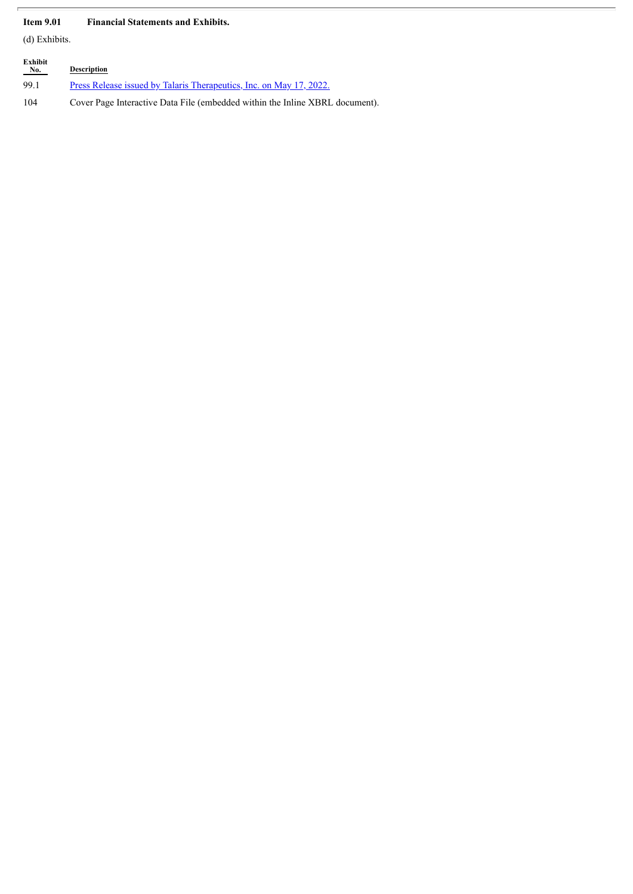#### **Item 9.01 Financial Statements and Exhibits.**

(d) Exhibits.

| Exhibit<br>No. | <b>Description</b>                                                           |
|----------------|------------------------------------------------------------------------------|
| 99.1           | Press Release issued by Talaris Therapeutics, Inc. on May 17, 2022.          |
| 104            | Cover Page Interactive Data File (embedded within the Inline XBRL document). |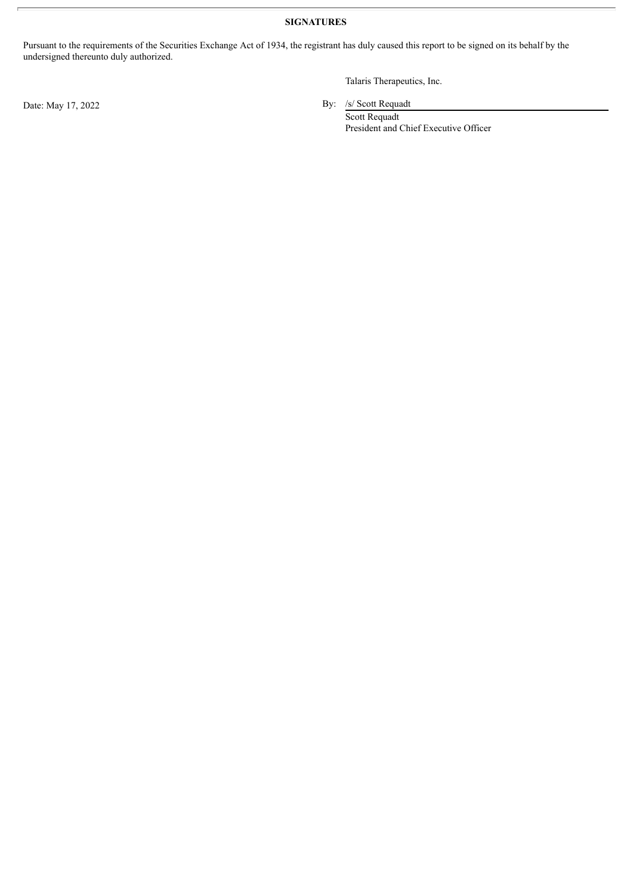**SIGNATURES**

Pursuant to the requirements of the Securities Exchange Act of 1934, the registrant has duly caused this report to be signed on its behalf by the undersigned thereunto duly authorized.

Talaris Therapeutics, Inc.

Date: May 17, 2022 By: /s/ Scott Requadt

Scott Requadt President and Chief Executive Officer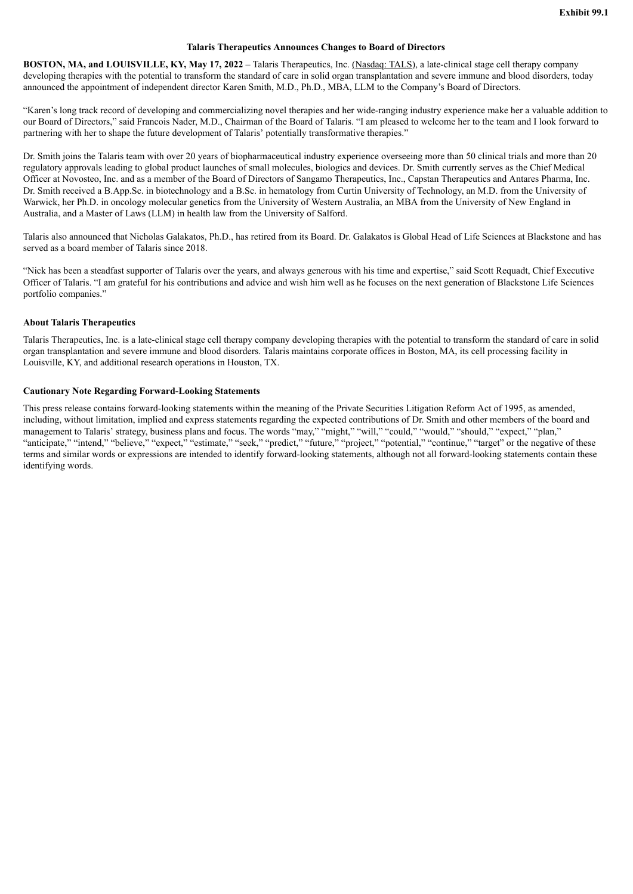#### **Talaris Therapeutics Announces Changes to Board of Directors**

<span id="page-4-0"></span>**BOSTON, MA, and LOUISVILLE, KY, May 17, 2022** – Talaris Therapeutics, Inc. (Nasdaq: TALS), a late-clinical stage cell therapy company developing therapies with the potential to transform the standard of care in solid organ transplantation and severe immune and blood disorders, today announced the appointment of independent director Karen Smith, M.D., Ph.D., MBA, LLM to the Company's Board of Directors.

"Karen's long track record of developing and commercializing novel therapies and her wide-ranging industry experience make her a valuable addition to our Board of Directors," said Francois Nader, M.D., Chairman of the Board of Talaris. "I am pleased to welcome her to the team and I look forward to partnering with her to shape the future development of Talaris' potentially transformative therapies."

Dr. Smith joins the Talaris team with over 20 years of biopharmaceutical industry experience overseeing more than 50 clinical trials and more than 20 regulatory approvals leading to global product launches of small molecules, biologics and devices. Dr. Smith currently serves as the Chief Medical Officer at Novosteo, Inc. and as a member of the Board of Directors of Sangamo Therapeutics, Inc., Capstan Therapeutics and Antares Pharma, Inc. Dr. Smith received a B.App.Sc. in biotechnology and a B.Sc. in hematology from Curtin University of Technology, an M.D. from the University of Warwick, her Ph.D. in oncology molecular genetics from the University of Western Australia, an MBA from the University of New England in Australia, and a Master of Laws (LLM) in health law from the University of Salford.

Talaris also announced that Nicholas Galakatos, Ph.D., has retired from its Board. Dr. Galakatos is Global Head of Life Sciences at Blackstone and has served as a board member of Talaris since 2018.

"Nick has been a steadfast supporter of Talaris over the years, and always generous with his time and expertise," said Scott Requadt, Chief Executive Officer of Talaris. "I am grateful for his contributions and advice and wish him well as he focuses on the next generation of Blackstone Life Sciences portfolio companies."

#### **About Talaris Therapeutics**

Talaris Therapeutics, Inc. is a late-clinical stage cell therapy company developing therapies with the potential to transform the standard of care in solid organ transplantation and severe immune and blood disorders. Talaris maintains corporate offices in Boston, MA, its cell processing facility in Louisville, KY, and additional research operations in Houston, TX.

#### **Cautionary Note Regarding Forward-Looking Statements**

This press release contains forward-looking statements within the meaning of the Private Securities Litigation Reform Act of 1995, as amended, including, without limitation, implied and express statements regarding the expected contributions of Dr. Smith and other members of the board and management to Talaris' strategy, business plans and focus. The words "may," "might," "will," "could," "would," "should," "expect," "plan," "anticipate," "intend," "believe," "expect," "estimate," "seek," "predict," "future," "project," "potential," "continue," "target" or the negative of these terms and similar words or expressions are intended to identify forward-looking statements, although not all forward-looking statements contain these identifying words.